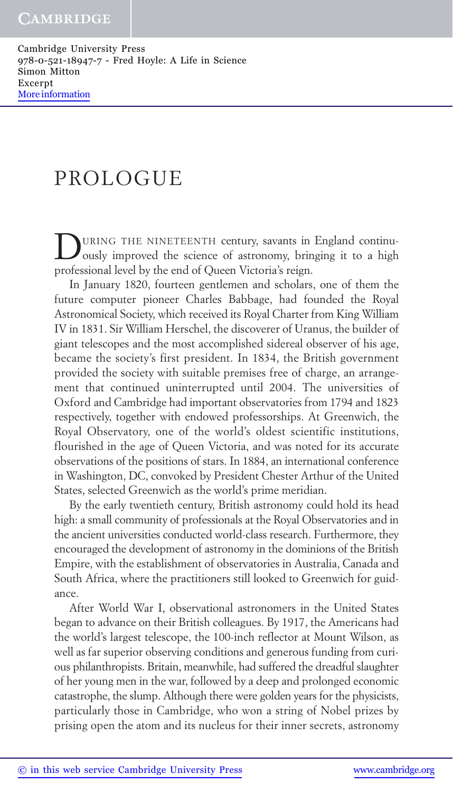# PROLOGUE

DURING THE NINETEENTH century, savants in England continuously improved the science of astronomy, bringing it to a high professional level by the end of Queen Victoria's reign.

In January 1820, fourteen gentlemen and scholars, one of them the future computer pioneer Charles Babbage, had founded the Royal Astronomical Society, which received its Royal Charter from King William IV in 1831. Sir William Herschel, the discoverer of Uranus, the builder of giant telescopes and the most accomplished sidereal observer of his age, became the society's first president. In 1834, the British government provided the society with suitable premises free of charge, an arrangement that continued uninterrupted until 2004. The universities of Oxford and Cambridge had important observatories from 1794 and 1823 respectively, together with endowed professorships. At Greenwich, the Royal Observatory, one of the world's oldest scientific institutions, flourished in the age of Queen Victoria, and was noted for its accurate observations of the positions of stars. In 1884, an international conference in Washington, DC, convoked by President Chester Arthur of the United States, selected Greenwich as the world's prime meridian.

By the early twentieth century, British astronomy could hold its head high: a small community of professionals at the Royal Observatories and in the ancient universities conducted world-class research. Furthermore, they encouraged the development of astronomy in the dominions of the British Empire, with the establishment of observatories in Australia, Canada and South Africa, where the practitioners still looked to Greenwich for guidance.

After World War I, observational astronomers in the United States began to advance on their British colleagues. By 1917, the Americans had the world's largest telescope, the 100-inch reflector at Mount Wilson, as well as far superior observing conditions and generous funding from curious philanthropists. Britain, meanwhile, had suffered the dreadful slaughter of her young men in the war, followed by a deep and prolonged economic catastrophe, the slump. Although there were golden years for the physicists, particularly those in Cambridge, who won a string of Nobel prizes by prising open the atom and its nucleus for their inner secrets, astronomy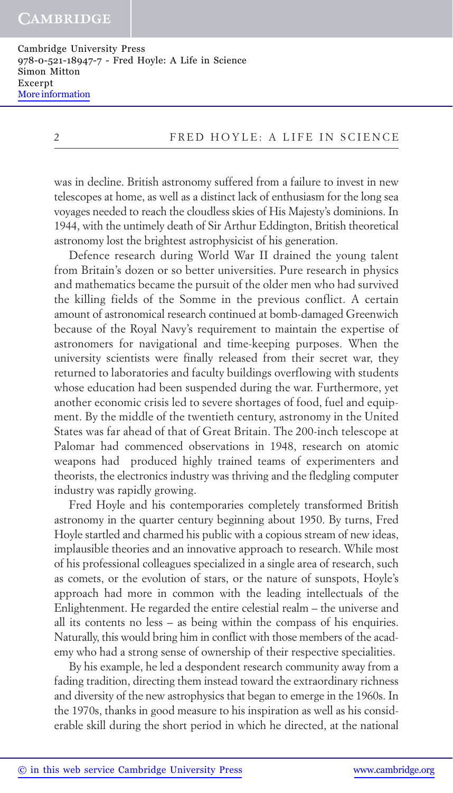# 2 FRED HOYLE: A LIFE IN SCIENCE

was in decline. British astronomy suffered from a failure to invest in new telescopes at home, as well as a distinct lack of enthusiasm for the long sea voyages needed to reach the cloudless skies of His Majesty's dominions. In 1944, with the untimely death of Sir Arthur Eddington, British theoretical astronomy lost the brightest astrophysicist of his generation.

Defence research during World War II drained the young talent from Britain's dozen or so better universities. Pure research in physics and mathematics became the pursuit of the older men who had survived the killing fields of the Somme in the previous conflict. A certain amount of astronomical research continued at bomb-damaged Greenwich because of the Royal Navy's requirement to maintain the expertise of astronomers for navigational and time-keeping purposes. When the university scientists were finally released from their secret war, they returned to laboratories and faculty buildings overflowing with students whose education had been suspended during the war. Furthermore, yet another economic crisis led to severe shortages of food, fuel and equipment. By the middle of the twentieth century, astronomy in the United States was far ahead of that of Great Britain. The 200-inch telescope at Palomar had commenced observations in 1948, research on atomic weapons had produced highly trained teams of experimenters and theorists, the electronics industry was thriving and the fledgling computer industry was rapidly growing.

Fred Hoyle and his contemporaries completely transformed British astronomy in the quarter century beginning about 1950. By turns, Fred Hoyle startled and charmed his public with a copious stream of new ideas, implausible theories and an innovative approach to research. While most of his professional colleagues specialized in a single area of research, such as comets, or the evolution of stars, or the nature of sunspots, Hoyle's approach had more in common with the leading intellectuals of the Enlightenment. He regarded the entire celestial realm – the universe and all its contents no less – as being within the compass of his enquiries. Naturally, this would bring him in conflict with those members of the academy who had a strong sense of ownership of their respective specialities.

By his example, he led a despondent research community away from a fading tradition, directing them instead toward the extraordinary richness and diversity of the new astrophysics that began to emerge in the 1960s. In the 1970s, thanks in good measure to his inspiration as well as his considerable skill during the short period in which he directed, at the national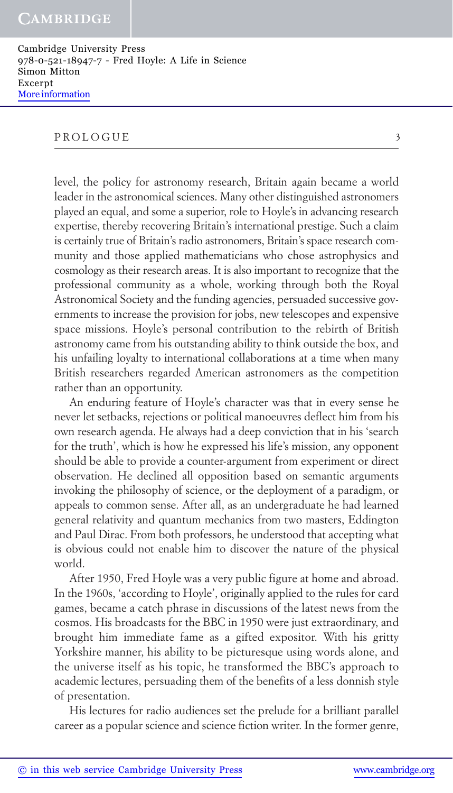# PROLOGUE 3

level, the policy for astronomy research, Britain again became a world leader in the astronomical sciences. Many other distinguished astronomers played an equal, and some a superior, role to Hoyle's in advancing research expertise, thereby recovering Britain's international prestige. Such a claim is certainly true of Britain's radio astronomers, Britain's space research community and those applied mathematicians who chose astrophysics and cosmology as their research areas. It is also important to recognize that the professional community as a whole, working through both the Royal Astronomical Society and the funding agencies, persuaded successive governments to increase the provision for jobs, new telescopes and expensive space missions. Hoyle's personal contribution to the rebirth of British astronomy came from his outstanding ability to think outside the box, and his unfailing loyalty to international collaborations at a time when many British researchers regarded American astronomers as the competition rather than an opportunity.

An enduring feature of Hoyle's character was that in every sense he never let setbacks, rejections or political manoeuvres deflect him from his own research agenda. He always had a deep conviction that in his 'search for the truth', which is how he expressed his life's mission, any opponent should be able to provide a counter-argument from experiment or direct observation. He declined all opposition based on semantic arguments invoking the philosophy of science, or the deployment of a paradigm, or appeals to common sense. After all, as an undergraduate he had learned general relativity and quantum mechanics from two masters, Eddington and Paul Dirac. From both professors, he understood that accepting what is obvious could not enable him to discover the nature of the physical world.

After 1950, Fred Hoyle was a very public figure at home and abroad. In the 1960s, 'according to Hoyle', originally applied to the rules for card games, became a catch phrase in discussions of the latest news from the cosmos. His broadcasts for the BBC in 1950 were just extraordinary, and brought him immediate fame as a gifted expositor. With his gritty Yorkshire manner, his ability to be picturesque using words alone, and the universe itself as his topic, he transformed the BBC's approach to academic lectures, persuading them of the benefits of a less donnish style of presentation.

His lectures for radio audiences set the prelude for a brilliant parallel career as a popular science and science fiction writer. In the former genre,

[© in this web service Cambridge University Press](http://www.cambridge.org) [www.cambridge.org](http://www.cambridge.org)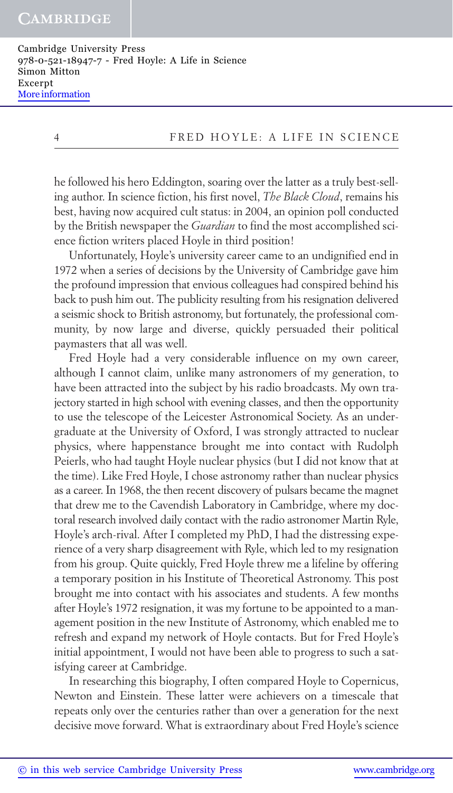# 4 FRED HOYLE: A LIFE IN SCIENCE

he followed his hero Eddington, soaring over the latter as a truly best-selling author. In science fiction, his first novel, *The Black Cloud*, remains his best, having now acquired cult status: in 2004, an opinion poll conducted by the British newspaper the *Guardian* to find the most accomplished science fiction writers placed Hoyle in third position!

Unfortunately, Hoyle's university career came to an undignified end in 1972 when a series of decisions by the University of Cambridge gave him the profound impression that envious colleagues had conspired behind his back to push him out. The publicity resulting from his resignation delivered a seismic shock to British astronomy, but fortunately, the professional community, by now large and diverse, quickly persuaded their political paymasters that all was well.

Fred Hoyle had a very considerable influence on my own career, although I cannot claim, unlike many astronomers of my generation, to have been attracted into the subject by his radio broadcasts. My own trajectory started in high school with evening classes, and then the opportunity to use the telescope of the Leicester Astronomical Society. As an undergraduate at the University of Oxford, I was strongly attracted to nuclear physics, where happenstance brought me into contact with Rudolph Peierls, who had taught Hoyle nuclear physics (but I did not know that at the time). Like Fred Hoyle, I chose astronomy rather than nuclear physics as a career. In 1968, the then recent discovery of pulsars became the magnet that drew me to the Cavendish Laboratory in Cambridge, where my doctoral research involved daily contact with the radio astronomer Martin Ryle, Hoyle's arch-rival. After I completed my PhD, I had the distressing experience of a very sharp disagreement with Ryle, which led to my resignation from his group. Quite quickly, Fred Hoyle threw me a lifeline by offering a temporary position in his Institute of Theoretical Astronomy. This post brought me into contact with his associates and students. A few months after Hoyle's 1972 resignation, it was my fortune to be appointed to a management position in the new Institute of Astronomy, which enabled me to refresh and expand my network of Hoyle contacts. But for Fred Hoyle's initial appointment, I would not have been able to progress to such a satisfying career at Cambridge.

In researching this biography, I often compared Hoyle to Copernicus, Newton and Einstein. These latter were achievers on a timescale that repeats only over the centuries rather than over a generation for the next decisive move forward. What is extraordinary about Fred Hoyle's science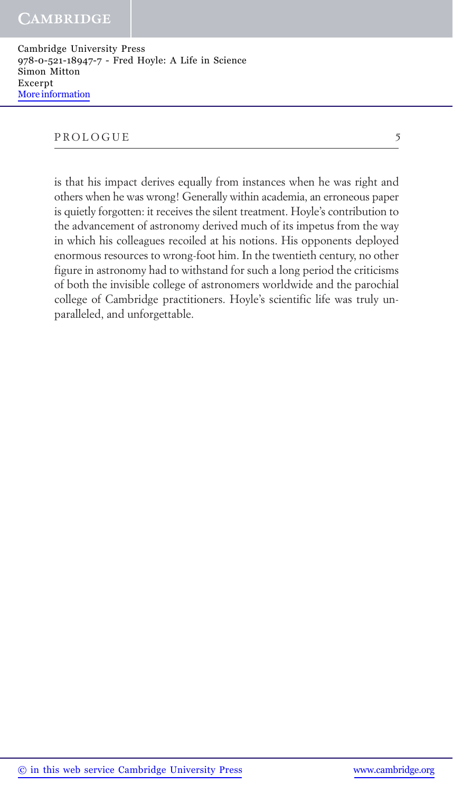# PROLOGUE 5

is that his impact derives equally from instances when he was right and others when he was wrong! Generally within academia, an erroneous paper is quietly forgotten: it receives the silent treatment. Hoyle's contribution to the advancement of astronomy derived much of its impetus from the way in which his colleagues recoiled at his notions. His opponents deployed enormous resources to wrong-foot him. In the twentieth century, no other figure in astronomy had to withstand for such a long period the criticisms of both the invisible college of astronomers worldwide and the parochial college of Cambridge practitioners. Hoyle's scientific life was truly unparalleled, and unforgettable.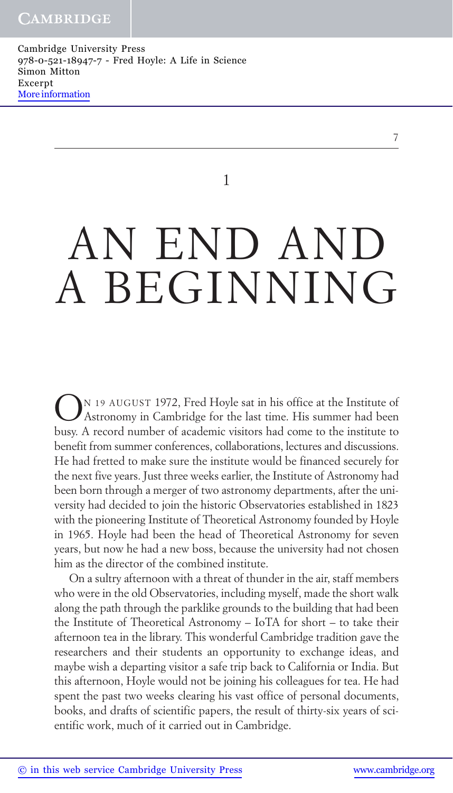7

1

# AN END AND A BEGINNING

ON 19 AUGUST 1972, Fred Hoyle sat in his office at the Institute of Astronomy in Cambridge for the last time. His summer had been busy. A record number of academic visitors had come to the institute to benefit from summer conferences, collaborations, lectures and discussions. He had fretted to make sure the institute would be financed securely for the next five years. Just three weeks earlier, the Institute of Astronomy had been born through a merger of two astronomy departments, after the university had decided to join the historic Observatories established in 1823 with the pioneering Institute of Theoretical Astronomy founded by Hoyle in 1965. Hoyle had been the head of Theoretical Astronomy for seven years, but now he had a new boss, because the university had not chosen him as the director of the combined institute.

On a sultry afternoon with a threat of thunder in the air, staff members who were in the old Observatories, including myself, made the short walk along the path through the parklike grounds to the building that had been the Institute of Theoretical Astronomy – IoTA for short – to take their afternoon tea in the library. This wonderful Cambridge tradition gave the researchers and their students an opportunity to exchange ideas, and maybe wish a departing visitor a safe trip back to California or India. But this afternoon, Hoyle would not be joining his colleagues for tea. He had spent the past two weeks clearing his vast office of personal documents, books, and drafts of scientific papers, the result of thirty-six years of scientific work, much of it carried out in Cambridge.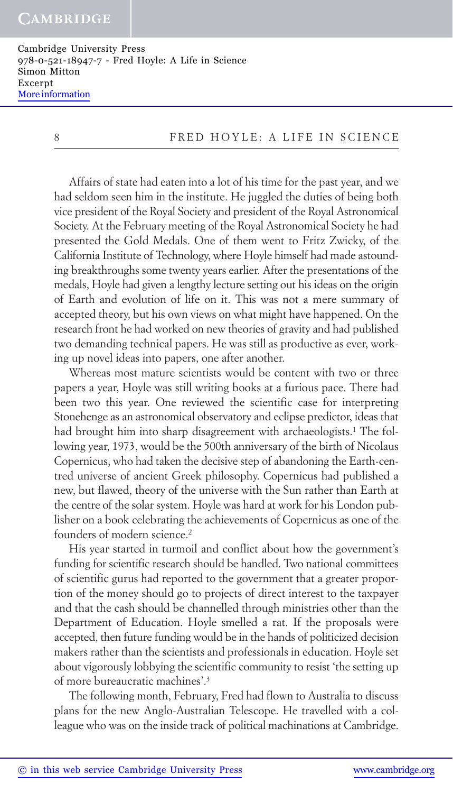# 8 FRED HOYLE: A LIFE IN SCIENCE

Affairs of state had eaten into a lot of his time for the past year, and we had seldom seen him in the institute. He juggled the duties of being both vice president of the Royal Society and president of the Royal Astronomical Society. At the February meeting of the Royal Astronomical Society he had presented the Gold Medals. One of them went to Fritz Zwicky, of the California Institute of Technology, where Hoyle himself had made astounding breakthroughs some twenty years earlier. After the presentations of the medals, Hoyle had given a lengthy lecture setting out his ideas on the origin of Earth and evolution of life on it. This was not a mere summary of accepted theory, but his own views on what might have happened. On the research front he had worked on new theories of gravity and had published two demanding technical papers. He was still as productive as ever, working up novel ideas into papers, one after another.

Whereas most mature scientists would be content with two or three papers a year, Hoyle was still writing books at a furious pace. There had been two this year. One reviewed the scientific case for interpreting Stonehenge as an astronomical observatory and eclipse predictor, ideas that had brought him into sharp disagreement with archaeologists.<sup>1</sup> The following year, 1973, would be the 500th anniversary of the birth of Nicolaus Copernicus, who had taken the decisive step of abandoning the Earth-centred universe of ancient Greek philosophy. Copernicus had published a new, but flawed, theory of the universe with the Sun rather than Earth at the centre of the solar system. Hoyle was hard at work for his London publisher on a book celebrating the achievements of Copernicus as one of the founders of modern science.2

His year started in turmoil and conflict about how the government's funding for scientific research should be handled. Two national committees of scientific gurus had reported to the government that a greater proportion of the money should go to projects of direct interest to the taxpayer and that the cash should be channelled through ministries other than the Department of Education. Hoyle smelled a rat. If the proposals were accepted, then future funding would be in the hands of politicized decision makers rather than the scientists and professionals in education. Hoyle set about vigorously lobbying the scientific community to resist 'the setting up of more bureaucratic machines'.3

The following month, February, Fred had flown to Australia to discuss plans for the new Anglo-Australian Telescope. He travelled with a colleague who was on the inside track of political machinations at Cambridge.

[© in this web service Cambridge University Press](http://www.cambridge.org) [www.cambridge.org](http://www.cambridge.org)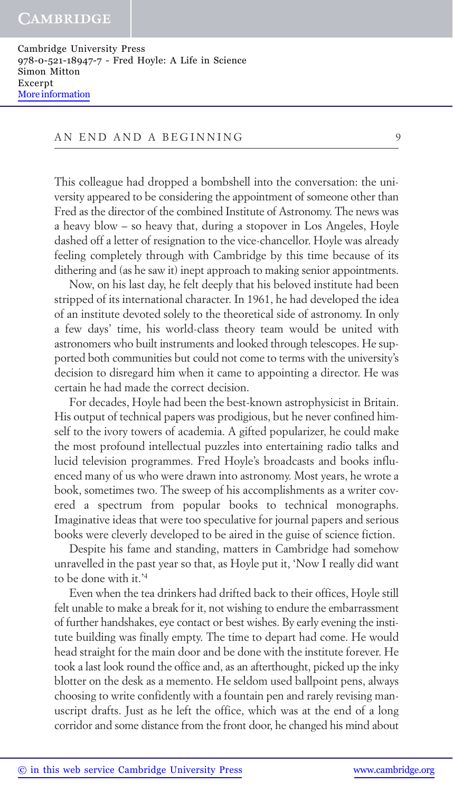#### AN END AND A BEGINNING 9

This colleague had dropped a bombshell into the conversation: the university appeared to be considering the appointment of someone other than Fred as the director of the combined Institute of Astronomy. The news was a heavy blow – so heavy that, during a stopover in Los Angeles, Hoyle dashed off a letter of resignation to the vice-chancellor. Hoyle was already feeling completely through with Cambridge by this time because of its dithering and (as he saw it) inept approach to making senior appointments.

Now, on his last day, he felt deeply that his beloved institute had been stripped of its international character. In 1961, he had developed the idea of an institute devoted solely to the theoretical side of astronomy. In only a few days' time, his world-class theory team would be united with astronomers who built instruments and looked through telescopes. He supported both communities but could not come to terms with the university's decision to disregard him when it came to appointing a director. He was certain he had made the correct decision.

For decades, Hoyle had been the best-known astrophysicist in Britain. His output of technical papers was prodigious, but he never confined himself to the ivory towers of academia. A gifted popularizer, he could make the most profound intellectual puzzles into entertaining radio talks and lucid television programmes. Fred Hoyle's broadcasts and books influenced many of us who were drawn into astronomy. Most years, he wrote a book, sometimes two. The sweep of his accomplishments as a writer covered a spectrum from popular books to technical monographs. Imaginative ideas that were too speculative for journal papers and serious books were cleverly developed to be aired in the guise of science fiction.

Despite his fame and standing, matters in Cambridge had somehow unravelled in the past year so that, as Hoyle put it, 'Now I really did want to be done with it.'4

Even when the tea drinkers had drifted back to their offices, Hoyle still felt unable to make a break for it, not wishing to endure the embarrassment of further handshakes, eye contact or best wishes. By early evening the institute building was finally empty. The time to depart had come. He would head straight for the main door and be done with the institute forever. He took a last look round the office and, as an afterthought, picked up the inky blotter on the desk as a memento. He seldom used ballpoint pens, always choosing to write confidently with a fountain pen and rarely revising manuscript drafts. Just as he left the office, which was at the end of a long corridor and some distance from the front door, he changed his mind about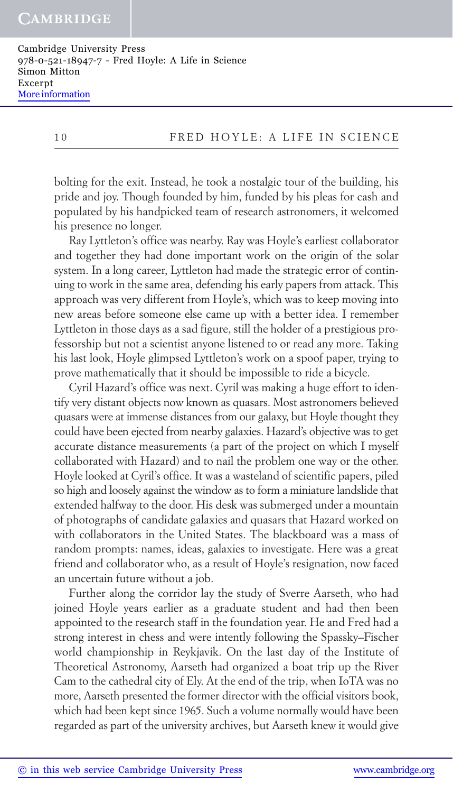## 10 FRED HOYLE: A LIFE IN SCIENCE

bolting for the exit. Instead, he took a nostalgic tour of the building, his pride and joy. Though founded by him, funded by his pleas for cash and populated by his handpicked team of research astronomers, it welcomed his presence no longer.

Ray Lyttleton's office was nearby. Ray was Hoyle's earliest collaborator and together they had done important work on the origin of the solar system. In a long career, Lyttleton had made the strategic error of continuing to work in the same area, defending his early papers from attack. This approach was very different from Hoyle's, which was to keep moving into new areas before someone else came up with a better idea. I remember Lyttleton in those days as a sad figure, still the holder of a prestigious professorship but not a scientist anyone listened to or read any more. Taking his last look, Hoyle glimpsed Lyttleton's work on a spoof paper, trying to prove mathematically that it should be impossible to ride a bicycle.

Cyril Hazard's office was next. Cyril was making a huge effort to identify very distant objects now known as quasars. Most astronomers believed quasars were at immense distances from our galaxy, but Hoyle thought they could have been ejected from nearby galaxies. Hazard's objective was to get accurate distance measurements (a part of the project on which I myself collaborated with Hazard) and to nail the problem one way or the other. Hoyle looked at Cyril's office. It was a wasteland of scientific papers, piled so high and loosely against the window as to form a miniature landslide that extended halfway to the door. His desk was submerged under a mountain of photographs of candidate galaxies and quasars that Hazard worked on with collaborators in the United States. The blackboard was a mass of random prompts: names, ideas, galaxies to investigate. Here was a great friend and collaborator who, as a result of Hoyle's resignation, now faced an uncertain future without a job.

Further along the corridor lay the study of Sverre Aarseth, who had joined Hoyle years earlier as a graduate student and had then been appointed to the research staff in the foundation year. He and Fred had a strong interest in chess and were intently following the Spassky–Fischer world championship in Reykjavik. On the last day of the Institute of Theoretical Astronomy, Aarseth had organized a boat trip up the River Cam to the cathedral city of Ely. At the end of the trip, when IoTA was no more, Aarseth presented the former director with the official visitors book, which had been kept since 1965. Such a volume normally would have been regarded as part of the university archives, but Aarseth knew it would give